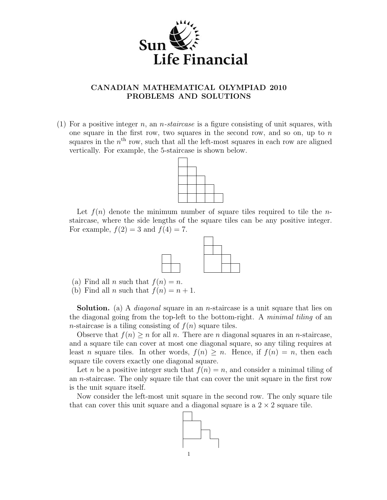

## CANADIAN MATHEMATICAL OLYMPIAD 2010 PROBLEMS AND SOLUTIONS

(1) For a positive integer n, an *n*-staircase is a figure consisting of unit squares, with one square in the first row, two squares in the second row, and so on, up to  $n$ squares in the  $n<sup>th</sup>$  row, such that all the left-most squares in each row are aligned vertically. For example, the 5-staircase is shown below.



Let  $f(n)$  denote the minimum number of square tiles required to tile the nstaircase, where the side lengths of the square tiles can be any positive integer. For example,  $f(2) = 3$  and  $f(4) = 7$ .



- (a) Find all n such that  $f(n) = n$ .
- (b) Find all *n* such that  $f(n) = n + 1$ .

**Solution.** (a) A *diagonal* square in an *n*-staircase is a unit square that lies on the diagonal going from the top-left to the bottom-right. A minimal tiling of an n-staircase is a tiling consisting of  $f(n)$  square tiles.

Observe that  $f(n) \geq n$  for all n. There are n diagonal squares in an n-staircase, and a square tile can cover at most one diagonal square, so any tiling requires at least n square tiles. In other words,  $f(n) \geq n$ . Hence, if  $f(n) = n$ , then each square tile covers exactly one diagonal square.

Let n be a positive integer such that  $f(n) = n$ , and consider a minimal tiling of an n-staircase. The only square tile that can cover the unit square in the first row is the unit square itself.

Now consider the left-most unit square in the second row. The only square tile that can cover this unit square and a diagonal square is a  $2 \times 2$  square tile.

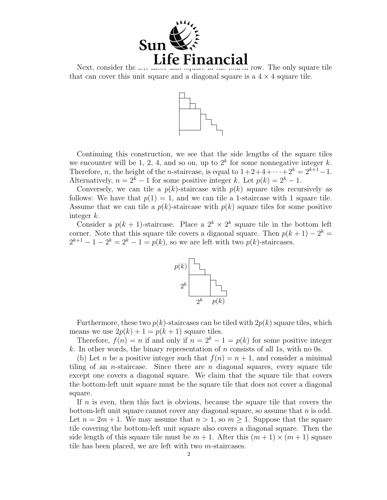

Next, consider the  $\alpha$  most unit square in the fourth row. The only square tile that can cover this unit square and a diagonal square is a  $4 \times 4$  square tile.



Continuing this construction, we see that the side lengths of the square tiles we encounter will be 1, 2, 4, and so on, up to  $2^k$  for some nonnegative integer k. Therefore, *n*, the height of the *n*-staircase, is equal to  $1+2+4+\cdots+2^k = 2^{k+1}-1$ . Alternatively,  $n = 2^k - 1$  for some positive integer k. Let  $p(k) = 2^k - 1$ .

Conversely, we can tile a  $p(k)$ -staircase with  $p(k)$  square tiles recursively as follows: We have that  $p(1) = 1$ , and we can tile a 1-staircase with 1 square tile. Assume that we can tile a  $p(k)$ -staircase with  $p(k)$  square tiles for some positive integer k.

Consider a  $p(k + 1)$ -staircase. Place a  $2^k \times 2^k$  square tile in the bottom left corner. Note that this square tile covers a digaonal square. Then  $p(k+1) - 2^k =$  $2^{k+1} - 1 - 2^{k} = 2^{k} - 1 = p(k)$ , so we are left with two  $p(k)$ -staircases.



Furthermore, these two  $p(k)$ -staircases can be tiled with  $2p(k)$  square tiles, which means we use  $2p(k) + 1 = p(k + 1)$  square tiles.

Therefore,  $f(n) = n$  if and only if  $n = 2<sup>k</sup> - 1 = p(k)$  for some positive integer k. In other words, the binary representation of n consists of all 1s, with no 0s.

(b) Let n be a positive integer such that  $f(n) = n + 1$ , and consider a minimal tiling of an *n*-staircase. Since there are *n* diagonal squares, every square tile except one covers a diagonal square. We claim that the square tile that covers the bottom-left unit square must be the square tile that does not cover a diagonal square.

If n is even, then this fact is obvious, because the square tile that covers the bottom-left unit square cannot cover any diagonal square, so assume that  $n$  is odd. Let  $n = 2m + 1$ . We may assume that  $n > 1$ , so  $m \ge 1$ . Suppose that the square tile covering the bottom-left unit square also covers a diagonal square. Then the side length of this square tile must be  $m + 1$ . After this  $(m + 1) \times (m + 1)$  square tile has been placed, we are left with two m-staircases.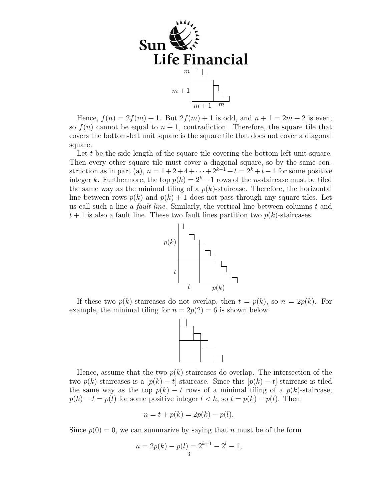

Hence,  $f(n) = 2f(m) + 1$ . But  $2f(m) + 1$  is odd, and  $n + 1 = 2m + 2$  is even, so  $f(n)$  cannot be equal to  $n + 1$ , contradiction. Therefore, the square tile that covers the bottom-left unit square is the square tile that does not cover a diagonal square.

Let t be the side length of the square tile covering the bottom-left unit square. Then every other square tile must cover a diagonal square, so by the same construction as in part (a),  $n = 1 + 2 + 4 + \cdots + 2^{k-1} + t = 2^k + t - 1$  for some positive integer k. Furthermore, the top  $p(k) = 2<sup>k</sup> - 1$  rows of the n-staircase must be tiled the same way as the minimal tiling of a  $p(k)$ -staircase. Therefore, the horizontal line between rows  $p(k)$  and  $p(k) + 1$  does not pass through any square tiles. Let us call such a line a *fault line*. Similarly, the vertical line between columns  $t$  and  $t+1$  is also a fault line. These two fault lines partition two  $p(k)$ -staircases.



If these two  $p(k)$ -staircases do not overlap, then  $t = p(k)$ , so  $n = 2p(k)$ . For example, the minimal tiling for  $n = 2p(2) = 6$  is shown below.



Hence, assume that the two  $p(k)$ -staircases do overlap. The intersection of the two  $p(k)$ -staircases is a  $[p(k) - t]$ -staircase. Since this  $[p(k) - t]$ -staircase is tiled the same way as the top  $p(k) - t$  rows of a minimal tiling of a  $p(k)$ -staircase,  $p(k) - t = p(l)$  for some positive integer  $l < k$ , so  $t = p(k) - p(l)$ . Then

$$
n = t + p(k) = 2p(k) - p(l).
$$

Since  $p(0) = 0$ , we can summarize by saying that n must be of the form

$$
n = 2p(k) - p(l) = 2^{k+1} - 2^{l} - 1,
$$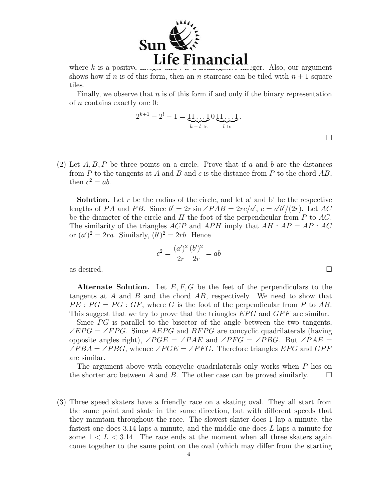

where k is a positive integer and  $\iota$  is a nonnegative integer. Also, our argument shows how if n is of this form, then an n-staircase can be tiled with  $n + 1$  square tiles.

Finally, we observe that  $n$  is of this form if and only if the binary representation of n contains exactly one 0:

$$
2^{k+1} - 2^{l} - 1 = \underbrace{11 \dots 1}_{k-l \text{ 1s}} 0 \underbrace{11 \dots 1}_{l \text{ 1s}}.
$$

 $\Box$ 

(2) Let  $A, B, P$  be three points on a circle. Prove that if a and b are the distances from  $P$  to the tangents at  $A$  and  $B$  and  $c$  is the distance from  $P$  to the chord  $AB$ , then  $c^2 = ab$ .

**Solution.** Let r be the radius of the circle, and let a' and b' be the respective lengths of PA and PB. Since  $b' = 2r \sin \angle PAB = 2rc/a'$ ,  $c = a'b'/(2r)$ . Let AC be the diameter of the circle and  $H$  the foot of the perpendicular from  $P$  to  $AC$ . The similarity of the triangles ACP and APH imply that  $AH : AP = AP : AC$ or  $(a')^2 = 2ra$ . Similarly,  $(b')^2 = 2rb$ . Hence

$$
c^{2} = \frac{(a')^{2}}{2r} \frac{(b')^{2}}{2r} = ab
$$

as desired.  $\Box$ 

Alternate Solution. Let  $E, F, G$  be the feet of the perpendiculars to the tangents at  $A$  and  $B$  and the chord  $AB$ , respectively. We need to show that  $PE : PG = PG : GF$ , where G is the foot of the perpendicular from P to AB. This suggest that we try to prove that the triangles  $EPG$  and  $GPF$  are similar.

Since  $PG$  is parallel to the bisector of the angle between the two tangents,  $\angle EPG = \angle FPG$ . Since AEPG and BFPG are concyclic quadrilaterals (having opposite angles right),  $\angle PGE = \angle PAE$  and  $\angle PFG = \angle PBG$ . But  $\angle PAE =$  $\angle PBA = \angle PBG$ , whence  $\angle PGE = \angle PFG$ . Therefore triangles EPG and GPF are similar.

The argument above with concyclic quadrilaterals only works when P lies on the shorter arc between A and B. The other case can be proved similarly.  $\square$ 

(3) Three speed skaters have a friendly race on a skating oval. They all start from the same point and skate in the same direction, but with different speeds that they maintain throughout the race. The slowest skater does 1 lap a minute, the fastest one does 3.14 laps a minute, and the middle one does L laps a minute for some  $1 < L < 3.14$ . The race ends at the moment when all three skaters again come together to the same point on the oval (which may differ from the starting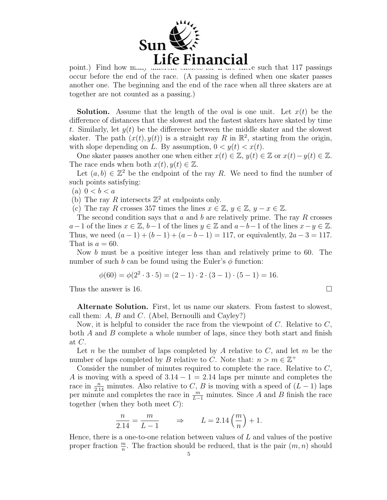

point.) Find how  $\frac{Life}{2}$  Financial choices for L are there such that 117 passings occur before the end of the race. (A passing is defined when one skater passes another one. The beginning and the end of the race when all three skaters are at together are not counted as a passing.)

**Solution.** Assume that the length of the oval is one unit. Let  $x(t)$  be the difference of distances that the slowest and the fastest skaters have skated by time t. Similarly, let  $y(t)$  be the difference between the middle skater and the slowest skater. The path  $(x(t), y(t))$  is a straight ray R in  $\mathbb{R}^2$ , starting from the origin, with slope depending on L. By assumption,  $0 < y(t) < x(t)$ .

One skater passes another one when either  $x(t) \in \mathbb{Z}$ ,  $y(t) \in \mathbb{Z}$  or  $x(t) - y(t) \in \mathbb{Z}$ . The race ends when both  $x(t), y(t) \in \mathbb{Z}$ .

Let  $(a, b) \in \mathbb{Z}^2$  be the endpoint of the ray R. We need to find the number of such points satisfying:

(a)  $0 < b < a$ 

(b) The ray R intersects  $\mathbb{Z}^2$  at endpoints only.

(c) The ray R crosses 357 times the lines  $x \in \mathbb{Z}$ ,  $y \in \mathbb{Z}$ ,  $y - x \in \mathbb{Z}$ .

The second condition says that a and b are relatively prime. The ray R crosses  $a-1$  of the lines  $x \in \mathbb{Z}$ ,  $b-1$  of the lines  $y \in \mathbb{Z}$  and  $a-b-1$  of the lines  $x-y \in \mathbb{Z}$ . Thus, we need  $(a-1)+(b-1)+(a-b-1)=117$ , or equivalently,  $2a-3=117$ . That is  $a = 60$ .

Now b must be a positive integer less than and relatively prime to 60. The number of such b can be found using the Euler's  $\phi$  function:

$$
\phi(60) = \phi(2^2 \cdot 3 \cdot 5) = (2 - 1) \cdot 2 \cdot (3 - 1) \cdot (5 - 1) = 16.
$$

Thus the answer is 16.  $\Box$ 

Alternate Solution. First, let us name our skaters. From fastest to slowest, call them:  $A, B$  and  $C.$  (Abel, Bernoulli and Cayley?)

Now, it is helpful to consider the race from the viewpoint of  $C$ . Relative to  $C$ , both  $A$  and  $B$  complete a whole number of laps, since they both start and finish at C.

Let n be the number of laps completed by A relative to  $C$ , and let m be the number of laps completed by B relative to C. Note that:  $n > m \in \mathbb{Z}^+$ 

Consider the number of minutes required to complete the race. Relative to C, A is moving with a speed of  $3.14 - 1 = 2.14$  laps per minute and completes the race in  $\frac{n}{2.14}$  minutes. Also relative to C, B is moving with a speed of  $(L-1)$  laps per minute and completes the race in  $\frac{m}{L-1}$  minutes. Since A and B finish the race together (when they both meet  $C$ ):

$$
\frac{n}{2.14} = \frac{m}{L-1} \qquad \Rightarrow \qquad L = 2.14 \left(\frac{m}{n}\right) + 1.
$$

Hence, there is a one-to-one relation between values of  $L$  and values of the postive proper fraction  $\frac{m}{n}$ . The fraction should be reduced, that is the pair  $(m, n)$  should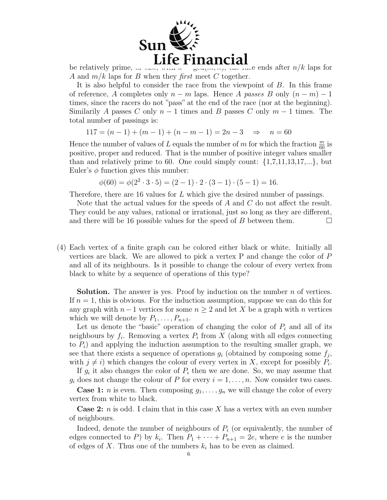

be relatively prime, or easy, with  $k = \text{spanomial}$   $\text{maximal}$ A and  $m/k$  laps for B when they first meet C together.

It is also helpful to consider the race from the viewpoint of B. In this frame of reference, A completes only  $n - m$  laps. Hence A passes B only  $(n - m) - 1$ times, since the racers do not "pass" at the end of the race (nor at the beginning). Similarily A passes C only  $n-1$  times and B passes C only  $m-1$  times. The total number of passings is:

 $117 = (n-1) + (m-1) + (n-m-1) = 2n-3 \Rightarrow n = 60$ 

Hence the number of values of L equals the number of  $m$  for which the fraction  $\frac{m}{60}$  is positive, proper and reduced. That is the number of positive integer values smaller than and relatively prime to 60. One could simply count:  $\{1,7,11,13,17,...\}$ , but Euler's  $\phi$  function gives this number:

 $\phi(60) = \phi(2^2 \cdot 3 \cdot 5) = (2 - 1) \cdot 2 \cdot (3 - 1) \cdot (5 - 1) = 16.$ 

Therefore, there are 16 values for L which give the desired number of passings.

Note that the actual values for the speeds of  $A$  and  $C$  do not affect the result. They could be any values, rational or irrational, just so long as they are different, and there will be 16 possible values for the speed of B between them.  $\Box$ 

(4) Each vertex of a finite graph can be colored either black or white. Initially all vertices are black. We are allowed to pick a vertex P and change the color of P and all of its neighbours. Is it possible to change the colour of every vertex from black to white by a sequence of operations of this type?

**Solution.** The answer is yes. Proof by induction on the number  $n$  of vertices. If  $n = 1$ , this is obvious. For the induction assumption, suppose we can do this for any graph with  $n-1$  vertices for some  $n \geq 2$  and let X be a graph with n vertices which we will denote by  $P_1, \ldots, P_{n+1}$ .

Let us denote the "basic" operation of changing the color of  $P_i$  and all of its neighbours by  $f_i$ . Removing a vertex  $P_i$  from X (along with all edges connecting to  $P_i$ ) and applying the induction assumption to the resulting smaller graph, we see that there exists a sequence of operations  $g_i$  (obtained by composing some  $f_j$ , with  $j \neq i$ ) which changes the colour of every vertex in X, except for possibly  $P_i$ .

If  $g_i$  it also changes the color of  $P_i$  then we are done. So, we may assume that  $g_i$  does not change the colour of P for every  $i = 1, \ldots, n$ . Now consider two cases.

**Case 1:** *n* is even. Then composing  $g_1, \ldots, g_n$  we will change the color of every vertex from white to black.

**Case 2:**  $n$  is odd. I claim that in this case X has a vertex with an even number of neighbours.

Indeed, denote the number of neighbours of  $P_i$  (or equivalently, the number of edges connected to P) by  $k_i$ . Then  $P_1 + \cdots + P_{n+1} = 2e$ , where e is the number of edges of X. Thus one of the numbers  $k_i$  has to be even as claimed.